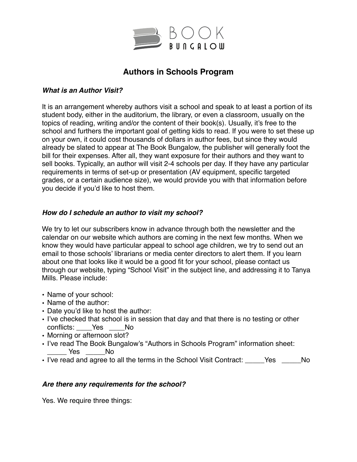

# **Authors in Schools Program**

#### *What is an Author Visit?*

It is an arrangement whereby authors visit a school and speak to at least a portion of its student body, either in the auditorium, the library, or even a classroom, usually on the topics of reading, writing and/or the content of their book(s). Usually, it's free to the school and furthers the important goal of getting kids to read. If you were to set these up on your own, it could cost thousands of dollars in author fees, but since they would already be slated to appear at The Book Bungalow, the publisher will generally foot the bill for their expenses. After all, they want exposure for their authors and they want to sell books. Typically, an author will visit 2-4 schools per day. If they have any particular requirements in terms of set-up or presentation (AV equipment, specific targeted grades, or a certain audience size), we would provide you with that information before you decide if you'd like to host them.

### *How do I schedule an author to visit my school?*

We try to let our subscribers know in advance through both the newsletter and the calendar on our website which authors are coming in the next few months. When we know they would have particular appeal to school age children, we try to send out an email to those schools' librarians or media center directors to alert them. If you learn about one that looks like it would be a good fit for your school, please contact us through our website, typing "School Visit" in the subject line, and addressing it to Tanya Mills. Please include:

- Name of your school:
- Name of the author:
- Date you'd like to host the author:
- I've checked that school is in session that day and that there is no testing or other conflicts: Yes No
- Morning or afternoon slot?
- I've read The Book Bungalow's "Authors in Schools Program" information sheet: Yes No
- I've read and agree to all the terms in the School Visit Contract: \_\_\_\_\_Yes \_\_\_\_\_No

#### *Are there any requirements for the school?*

Yes. We require three things: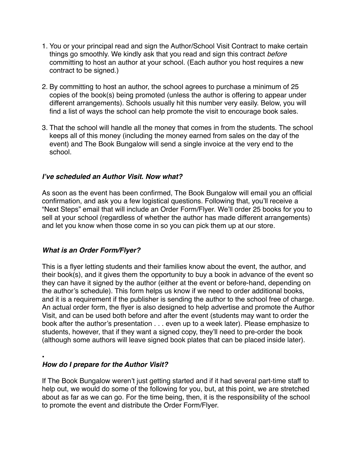- 1. You or your principal read and sign the Author/School Visit Contract to make certain things go smoothly. We kindly ask that you read and sign this contract *before* committing to host an author at your school. (Each author you host requires a new contract to be signed.)
- 2. By committing to host an author, the school agrees to purchase a minimum of 25 copies of the book(s) being promoted (unless the author is offering to appear under different arrangements). Schools usually hit this number very easily. Below, you will find a list of ways the school can help promote the visit to encourage book sales.
- 3. That the school will handle all the money that comes in from the students. The school keeps all of this money (including the money earned from sales on the day of the event) and The Book Bungalow will send a single invoice at the very end to the school.

### *I've scheduled an Author Visit. Now what?*

As soon as the event has been confirmed, The Book Bungalow will email you an official confirmation, and ask you a few logistical questions. Following that, you'll receive a "Next Steps" email that will include an Order Form/Flyer. We'll order 25 books for you to sell at your school (regardless of whether the author has made different arrangements) and let you know when those come in so you can pick them up at our store.

#### *What is an Order Form/Flyer?*

This is a flyer letting students and their families know about the event, the author, and their book(s), and it gives them the opportunity to buy a book in advance of the event so they can have it signed by the author (either at the event or before-hand, depending on the author's schedule). This form helps us know if we need to order additional books, and it is a requirement if the publisher is sending the author to the school free of charge. An actual order form, the flyer is also designed to help advertise and promote the Author Visit, and can be used both before and after the event (students may want to order the book after the author's presentation . . . even up to a week later). Please emphasize to students, however, that if they want a signed copy, they'll need to pre-order the book (although some authors will leave signed book plates that can be placed inside later).

•

### *How do I prepare for the Author Visit?*

If The Book Bungalow weren't just getting started and if it had several part-time staff to help out, we would do some of the following for you, but, at this point, we are stretched about as far as we can go. For the time being, then, it is the responsibility of the school to promote the event and distribute the Order Form/Flyer.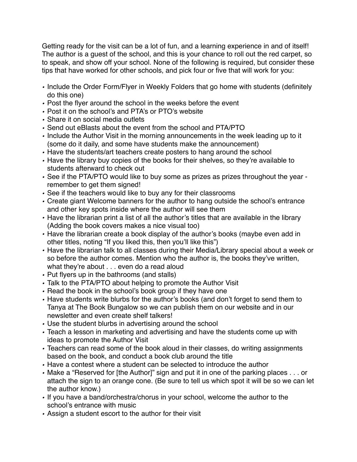Getting ready for the visit can be a lot of fun, and a learning experience in and of itself! The author is a guest of the school, and this is your chance to roll out the red carpet, so to speak, and show off your school. None of the following is required, but consider these tips that have worked for other schools, and pick four or five that will work for you:

- *•* Include the Order Form/Flyer in Weekly Folders that go home with students (definitely do this one)
- *•* Post the flyer around the school in the weeks before the event
- *•* Post it on the school's and PTA's or PTO's website
- *•* Share it on social media outlets
- *•* Send out eBlasts about the event from the school and PTA/PTO
- *•* Include the Author Visit in the morning announcements in the week leading up to it (some do it daily, and some have students make the announcement)
- *•* Have the students/art teachers create posters to hang around the school
- *•* Have the library buy copies of the books for their shelves, so they're available to students afterward to check out
- *•* See if the PTA/PTO would like to buy some as prizes as prizes throughout the year remember to get them signed!
- *•* See if the teachers would like to buy any for their classrooms
- *•* Create giant Welcome banners for the author to hang outside the school's entrance and other key spots inside where the author will see them
- *•* Have the librarian print a list of all the author's titles that are available in the library (Adding the book covers makes a nice visual too)
- *•* Have the librarian create a book display of the author's books (maybe even add in other titles, noting "If you liked this, then you'll like this")
- *•* Have the librarian talk to all classes during their Media/Library special about a week or so before the author comes. Mention who the author is, the books they've written, what they're about . . . even do a read aloud
- *•* Put flyers up in the bathrooms (and stalls)
- *•* Talk to the PTA/PTO about helping to promote the Author Visit
- *•* Read the book in the school's book group if they have one
- *•* Have students write blurbs for the author's books (and don't forget to send them to Tanya at The Book Bungalow so we can publish them on our website and in our newsletter and even create shelf talkers!
- *•* Use the student blurbs in advertising around the school
- *•* Teach a lesson in marketing and advertising and have the students come up with ideas to promote the Author Visit
- *•* Teachers can read some of the book aloud in their classes, do writing assignments based on the book, and conduct a book club around the title
- *•* Have a contest where a student can be selected to introduce the author
- *•* Make a "Reserved for [the Author]" sign and put it in one of the parking places . . . or attach the sign to an orange cone. (Be sure to tell us which spot it will be so we can let the author know.)
- *•* If you have a band/orchestra/chorus in your school, welcome the author to the school's entrance with music
- *•* Assign a student escort to the author for their visit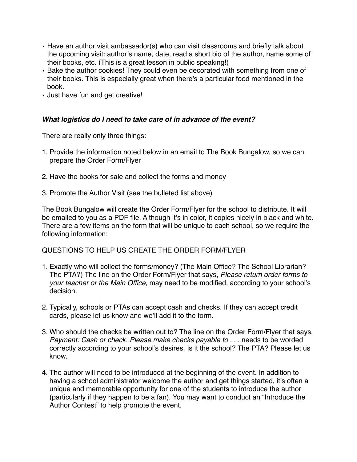- *•* Have an author visit ambassador(s) who can visit classrooms and briefly talk about the upcoming visit: author's name, date, read a short bio of the author, name some of their books, etc. (This is a great lesson in public speaking!)
- *•* Bake the author cookies! They could even be decorated with something from one of their books. This is especially great when there's a particular food mentioned in the book.
- *•* Just have fun and get creative!

### *What logistics do I need to take care of in advance of the event?*

There are really only three things:

- 1. Provide the information noted below in an email to The Book Bungalow, so we can prepare the Order Form/Flyer
- 2. Have the books for sale and collect the forms and money
- 3. Promote the Author Visit (see the bulleted list above)

The Book Bungalow will create the Order Form/Flyer for the school to distribute. It will be emailed to you as a PDF file. Although it's in color, it copies nicely in black and white. There are a few items on the form that will be unique to each school, so we require the following information:

QUESTIONS TO HELP US CREATE THE ORDER FORM/FLYER

- 1. Exactly who will collect the forms/money? (The Main Office? The School Librarian? The PTA?) The line on the Order Form/Flyer that says, *Please return order forms to your teacher or the Main Office*, may need to be modified, according to your school's decision.
- 2. Typically, schools or PTAs can accept cash and checks. If they can accept credit cards, please let us know and we'll add it to the form.
- 3. Who should the checks be written out to? The line on the Order Form/Flyer that says, *Payment: Cash or check. Please make checks payable to . . .* needs to be worded correctly according to your school's desires. Is it the school? The PTA? Please let us know.
- 4. The author will need to be introduced at the beginning of the event. In addition to having a school administrator welcome the author and get things started, it's often a unique and memorable opportunity for one of the students to introduce the author (particularly if they happen to be a fan). You may want to conduct an "Introduce the Author Contest" to help promote the event.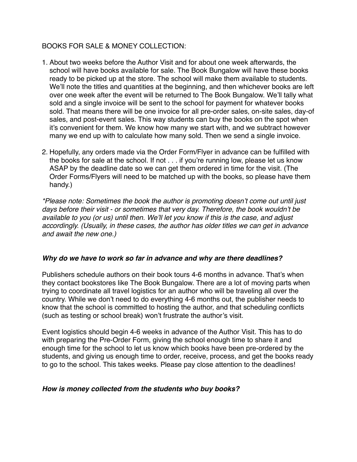### BOOKS FOR SALE & MONEY COLLECTION:

- 1. About two weeks before the Author Visit and for about one week afterwards, the school will have books available for sale. The Book Bungalow will have these books ready to be picked up at the store. The school will make them available to students. We'll note the titles and quantities at the beginning, and then whichever books are left over one week after the event will be returned to The Book Bungalow. We'll tally what sold and a single invoice will be sent to the school for payment for whatever books sold. That means there will be one invoice for all pre-order sales, on-site sales, day-of sales, and post-event sales. This way students can buy the books on the spot when it's convenient for them. We know how many we start with, and we subtract however many we end up with to calculate how many sold. Then we send a single invoice.
- 2. Hopefully, any orders made via the Order Form/Flyer in advance can be fulfilled with the books for sale at the school. If not . . . if you're running low, please let us know ASAP by the deadline date so we can get them ordered in time for the visit. (The Order Forms/Flyers will need to be matched up with the books, so please have them handy.)

*\*Please note: Sometimes the book the author is promoting doesn't come out until just days before their visit - or sometimes that very day. Therefore, the book wouldn't be available to you (or us) until then. We'll let you know if this is the case, and adjust accordingly. (Usually, in these cases, the author has older titles we can get in advance and await the new one.)*

#### *Why do we have to work so far in advance and why are there deadlines?*

Publishers schedule authors on their book tours 4-6 months in advance. That's when they contact bookstores like The Book Bungalow. There are a lot of moving parts when trying to coordinate all travel logistics for an author who will be traveling all over the country. While we don't need to do everything 4-6 months out, the publisher needs to know that the school is committed to hosting the author, and that scheduling conflicts (such as testing or school break) won't frustrate the author's visit.

Event logistics should begin 4-6 weeks in advance of the Author Visit. This has to do with preparing the Pre-Order Form, giving the school enough time to share it and enough time for the school to let us know which books have been pre-ordered by the students, and giving us enough time to order, receive, process, and get the books ready to go to the school. This takes weeks. Please pay close attention to the deadlines!

#### *How is money collected from the students who buy books?*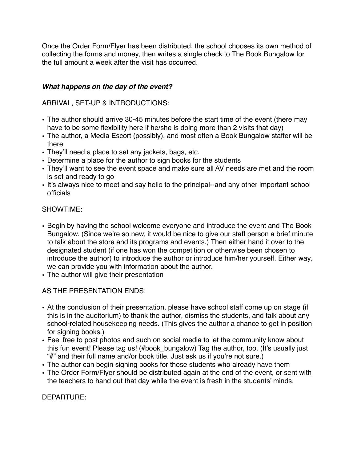Once the Order Form/Flyer has been distributed, the school chooses its own method of collecting the forms and money, then writes a single check to The Book Bungalow for the full amount a week after the visit has occurred.

### *What happens on the day of the event?*

ARRIVAL, SET-UP & INTRODUCTIONS:

- The author should arrive 30-45 minutes before the start time of the event (there may have to be some flexibility here if he/she is doing more than 2 visits that day)
- The author, a Media Escort (possibly), and most often a Book Bungalow staffer will be there
- They'll need a place to set any jackets, bags, etc.
- Determine a place for the author to sign books for the students
- They'll want to see the event space and make sure all AV needs are met and the room is set and ready to go
- It's always nice to meet and say hello to the principal--and any other important school officials

## SHOWTIME:

- Begin by having the school welcome everyone and introduce the event and The Book Bungalow. (Since we're so new, it would be nice to give our staff person a brief minute to talk about the store and its programs and events.) Then either hand it over to the designated student (if one has won the competition or otherwise been chosen to introduce the author) to introduce the author or introduce him/her yourself. Either way, we can provide you with information about the author.
- The author will give their presentation

# AS THE PRESENTATION ENDS:

- At the conclusion of their presentation, please have school staff come up on stage (if this is in the auditorium) to thank the author, dismiss the students, and talk about any school-related housekeeping needs. (This gives the author a chance to get in position for signing books.)
- Feel free to post photos and such on social media to let the community know about this fun event! Please tag us! (#book\_bungalow) Tag the author, too. (It's usually just "#" and their full name and/or book title. Just ask us if you're not sure.)
- The author can begin signing books for those students who already have them
- The Order Form/Flyer should be distributed again at the end of the event, or sent with the teachers to hand out that day while the event is fresh in the students' minds.

DEPARTURE: